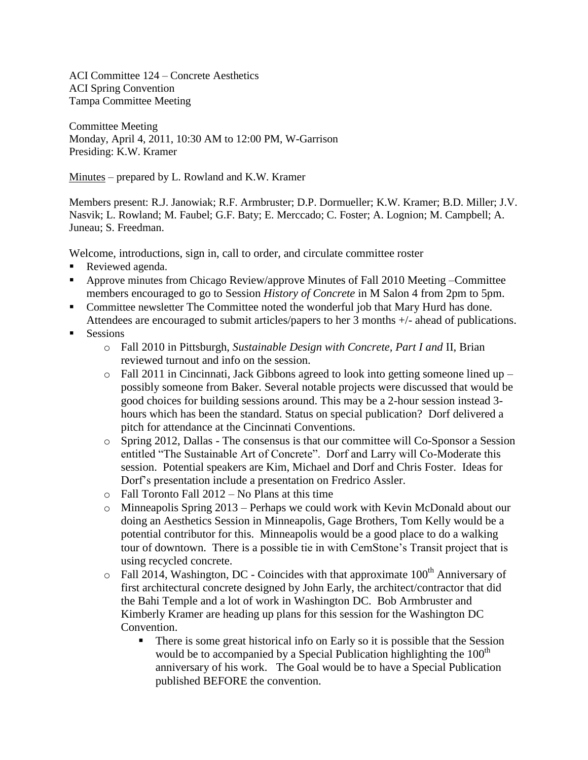ACI Committee 124 – Concrete Aesthetics ACI Spring Convention Tampa Committee Meeting

Committee Meeting Monday, April 4, 2011, 10:30 AM to 12:00 PM, W-Garrison Presiding: K.W. Kramer

Minutes – prepared by L. Rowland and K.W. Kramer

Members present: R.J. Janowiak; R.F. Armbruster; D.P. Dormueller; K.W. Kramer; B.D. Miller; J.V. Nasvik; L. Rowland; M. Faubel; G.F. Baty; E. Merccado; C. Foster; A. Lognion; M. Campbell; A. Juneau; S. Freedman.

Welcome, introductions, sign in, call to order, and circulate committee roster

- Reviewed agenda.
- Approve minutes from Chicago Review/approve Minutes of Fall 2010 Meeting –Committee members encouraged to go to Session *History of Concrete* in M Salon 4 from 2pm to 5pm.
- Committee newsletter The Committee noted the wonderful job that Mary Hurd has done. Attendees are encouraged to submit articles/papers to her 3 months +/- ahead of publications.
- **Sessions** 
	- o Fall 2010 in Pittsburgh, *Sustainable Design with Concrete, Part I and* II, Brian reviewed turnout and info on the session.
	- $\circ$  Fall 2011 in Cincinnati, Jack Gibbons agreed to look into getting someone lined up possibly someone from Baker. Several notable projects were discussed that would be good choices for building sessions around. This may be a 2-hour session instead 3 hours which has been the standard. Status on special publication? Dorf delivered a pitch for attendance at the Cincinnati Conventions.
	- o Spring 2012, Dallas The consensus is that our committee will Co-Sponsor a Session entitled "The Sustainable Art of Concrete". Dorf and Larry will Co-Moderate this session. Potential speakers are Kim, Michael and Dorf and Chris Foster. Ideas for Dorf's presentation include a presentation on Fredrico Assler.
	- o Fall Toronto Fall 2012 No Plans at this time
	- o Minneapolis Spring 2013 Perhaps we could work with Kevin McDonald about our doing an Aesthetics Session in Minneapolis, Gage Brothers, Tom Kelly would be a potential contributor for this. Minneapolis would be a good place to do a walking tour of downtown. There is a possible tie in with CemStone's Transit project that is using recycled concrete.
	- $\circ$  Fall 2014, Washington, DC Coincides with that approximate 100<sup>th</sup> Anniversary of first architectural concrete designed by John Early, the architect/contractor that did the Bahi Temple and a lot of work in Washington DC. Bob Armbruster and Kimberly Kramer are heading up plans for this session for the Washington DC Convention.
		- There is some great historical info on Early so it is possible that the Session would be to accompanied by a Special Publication highlighting the  $100<sup>th</sup>$ anniversary of his work. The Goal would be to have a Special Publication published BEFORE the convention.